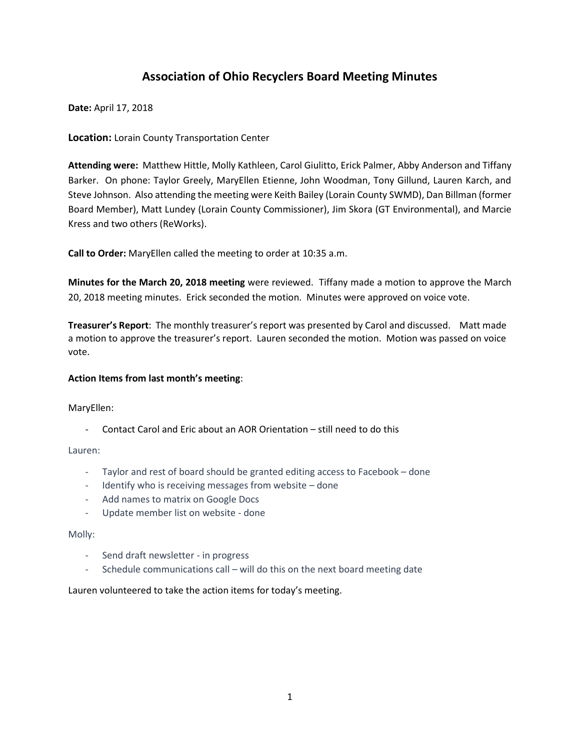# **Association of Ohio Recyclers Board Meeting Minutes**

**Date:** April 17, 2018

**Location:** Lorain County Transportation Center

**Attending were:** Matthew Hittle, Molly Kathleen, Carol Giulitto, Erick Palmer, Abby Anderson and Tiffany Barker. On phone: Taylor Greely, MaryEllen Etienne, John Woodman, Tony Gillund, Lauren Karch, and Steve Johnson. Also attending the meeting were Keith Bailey (Lorain County SWMD), Dan Billman (former Board Member), Matt Lundey (Lorain County Commissioner), Jim Skora (GT Environmental), and Marcie Kress and two others (ReWorks).

**Call to Order:** MaryEllen called the meeting to order at 10:35 a.m.

**Minutes for the March 20, 2018 meeting** were reviewed. Tiffany made a motion to approve the March 20, 2018 meeting minutes. Erick seconded the motion. Minutes were approved on voice vote.

**Treasurer's Report**: The monthly treasurer's report was presented by Carol and discussed. Matt made a motion to approve the treasurer's report. Lauren seconded the motion. Motion was passed on voice vote.

## **Action Items from last month's meeting**:

MaryEllen:

- Contact Carol and Eric about an AOR Orientation – still need to do this

Lauren:

- Taylor and rest of board should be granted editing access to Facebook done
- Identify who is receiving messages from website done
- Add names to matrix on Google Docs
- Update member list on website done

## Molly:

- Send draft newsletter in progress
- Schedule communications call will do this on the next board meeting date

Lauren volunteered to take the action items for today's meeting.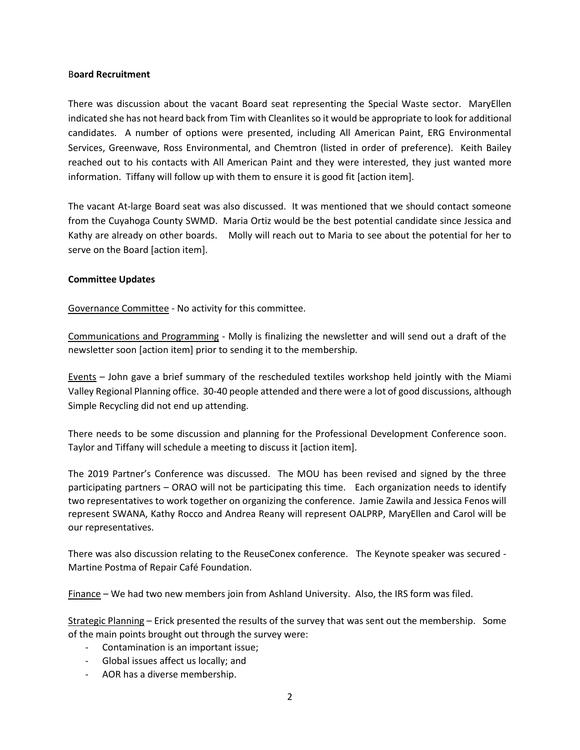#### B**oard Recruitment**

There was discussion about the vacant Board seat representing the Special Waste sector. MaryEllen indicated she has not heard back from Tim with Cleanlitesso it would be appropriate to look for additional candidates. A number of options were presented, including All American Paint, ERG Environmental Services, Greenwave, Ross Environmental, and Chemtron (listed in order of preference). Keith Bailey reached out to his contacts with All American Paint and they were interested, they just wanted more information. Tiffany will follow up with them to ensure it is good fit [action item].

The vacant At-large Board seat was also discussed. It was mentioned that we should contact someone from the Cuyahoga County SWMD. Maria Ortiz would be the best potential candidate since Jessica and Kathy are already on other boards. Molly will reach out to Maria to see about the potential for her to serve on the Board [action item].

## **Committee Updates**

Governance Committee - No activity for this committee.

Communications and Programming - Molly is finalizing the newsletter and will send out a draft of the newsletter soon [action item] prior to sending it to the membership.

Events – John gave a brief summary of the rescheduled textiles workshop held jointly with the Miami Valley Regional Planning office. 30-40 people attended and there were a lot of good discussions, although Simple Recycling did not end up attending.

There needs to be some discussion and planning for the Professional Development Conference soon. Taylor and Tiffany will schedule a meeting to discuss it [action item].

The 2019 Partner's Conference was discussed. The MOU has been revised and signed by the three participating partners – ORAO will not be participating this time. Each organization needs to identify two representatives to work together on organizing the conference. Jamie Zawila and Jessica Fenos will represent SWANA, Kathy Rocco and Andrea Reany will represent OALPRP, MaryEllen and Carol will be our representatives.

There was also discussion relating to the ReuseConex conference. The Keynote speaker was secured - Martine Postma of Repair Café Foundation.

Finance – We had two new members join from Ashland University. Also, the IRS form was filed.

Strategic Planning – Erick presented the results of the survey that was sent out the membership. Some of the main points brought out through the survey were:

- Contamination is an important issue;
- Global issues affect us locally; and
- AOR has a diverse membership.